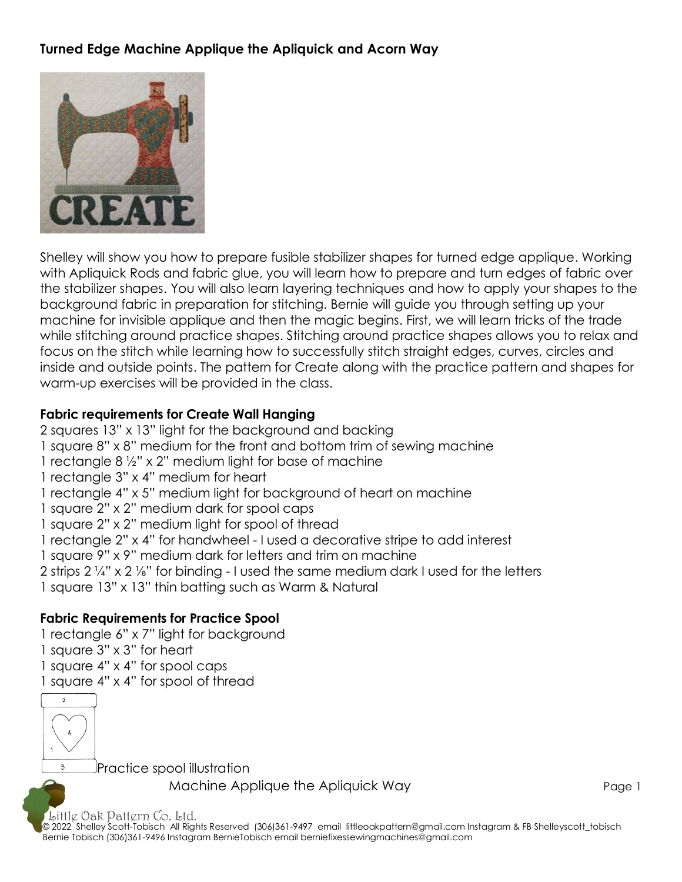## **Turned Edge Machine Applique the Apliquick and Acorn Way**



Shelley will show you how to prepare fusible stabilizer shapes for turned edge applique. Working with Apliquick Rods and fabric glue, you will learn how to prepare and turn edges of fabric over the stabilizer shapes. You will also learn layering techniques and how to apply your shapes to the background fabric in preparation for stitching. Bernie will guide you through setting up your machine for invisible applique and then the magic begins. First, we will learn tricks of the trade while stitching around practice shapes. Stitching around practice shapes allows you to relax and focus on the stitch while learning how to successfully stitch straight edges, curves, circles and inside and outside points. The pattern for Create along with the practice pattern and shapes for warm-up exercises will be provided in the class.

#### **Fabric requirements for Create Wall Hanging**

2 squares 13" x 13" light for the background and backing 1 square 8" x 8" medium for the front and bottom trim of sewing machine 1 rectangle 8 ½" x 2" medium light for base of machine 1 rectangle 3" x 4" medium for heart 1 rectangle 4" x 5" medium light for background of heart on machine 1 square 2" x 2" medium dark for spool caps 1 square 2" x 2" medium light for spool of thread 1 rectangle 2" x 4" for handwheel - I used a decorative stripe to add interest 1 square 9" x 9" medium dark for letters and trim on machine 2 strips 2 ¼" x 2 ⅛" for binding - I used the same medium dark I used for the letters 1 square 13" x 13" thin batting such as Warm & Natural

#### **Fabric Requirements for Practice Spool**

- 1 rectangle 6" x 7" light for background 1 square 3" x 3" for heart
- 
- 1 square 4" x 4" for spool caps
- 1 square 4" x 4" for spool of thread



Practice spool illustration

Machine Applique the Apliquick Way **Page 1** Page 1

Little Oak Pattern Co. Ltd.

© 2022 Shelley Scott-Tobisch All Rights Reserved (306)361-9497 email [littleoakpattern@gmail.com](mailto:littleoakpattern@gmail.com) Instagram & FB Shelleyscott\_tobisch Bernie Tobisch (306)361-9496 Instagram BernieTobisch email berniefixessewingmachines@gmail.com